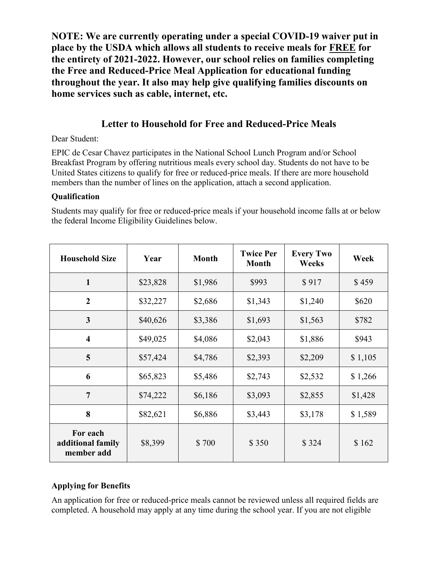**NOTE: We are currently operating under a special COVID-19 waiver put in place by the USDA which allows all students to receive meals for FREE for the entirety of 2021-2022. However, our school relies on families completing the Free and Reduced-Price Meal Application for educational funding throughout the year. It also may help give qualifying families discounts on home services such as cable, internet, etc.**

# **Letter to Household for Free and Reduced-Price Meals**

Dear Student:

EPIC de Cesar Chavez participates in the National School Lunch Program and/or School Breakfast Program by offering nutritious meals every school day. Students do not have to be United States citizens to qualify for free or reduced-price meals. If there are more household members than the number of lines on the application, attach a second application.

#### **Qualification**

Students may qualify for free or reduced-price meals if your household income falls at or below the federal Income Eligibility Guidelines below.

| <b>Household Size</b>                       | Year     | <b>Month</b> | <b>Twice Per</b><br><b>Month</b> | <b>Every Two</b><br>Weeks | Week    |
|---------------------------------------------|----------|--------------|----------------------------------|---------------------------|---------|
| $\mathbf{1}$                                | \$23,828 | \$1,986      | \$993                            | \$917                     | \$459   |
| $\overline{2}$                              | \$32,227 | \$2,686      | \$1,343                          | \$1,240                   | \$620   |
| 3                                           | \$40,626 | \$3,386      | \$1,693                          | \$1,563                   | \$782   |
| $\overline{\mathbf{4}}$                     | \$49,025 | \$4,086      | \$2,043                          | \$1,886                   | \$943   |
| 5                                           | \$57,424 | \$4,786      | \$2,393                          | \$2,209                   | \$1,105 |
| 6                                           | \$65,823 | \$5,486      | \$2,743                          | \$2,532                   | \$1,266 |
| $\overline{7}$                              | \$74,222 | \$6,186      | \$3,093                          | \$2,855                   | \$1,428 |
| 8                                           | \$82,621 | \$6,886      | \$3,443                          | \$3,178                   | \$1,589 |
| For each<br>additional family<br>member add | \$8,399  | \$700        | \$350                            | \$324                     | \$162   |

# **Applying for Benefits**

An application for free or reduced-price meals cannot be reviewed unless all required fields are completed. A household may apply at any time during the school year. If you are not eligible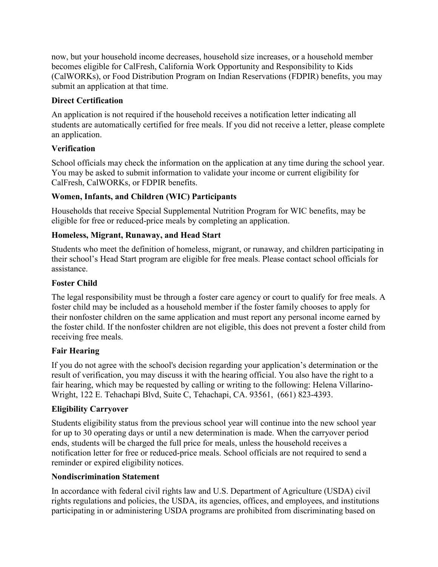now, but your household income decreases, household size increases, or a household member becomes eligible for CalFresh, California Work Opportunity and Responsibility to Kids (CalWORKs), or Food Distribution Program on Indian Reservations (FDPIR) benefits, you may submit an application at that time.

## **Direct Certification**

An application is not required if the household receives a notification letter indicating all students are automatically certified for free meals. If you did not receive a letter, please complete an application.

# **Verification**

School officials may check the information on the application at any time during the school year. You may be asked to submit information to validate your income or current eligibility for CalFresh, CalWORKs, or FDPIR benefits.

# **Women, Infants, and Children (WIC) Participants**

Households that receive Special Supplemental Nutrition Program for WIC benefits, may be eligible for free or reduced-price meals by completing an application.

# **Homeless, Migrant, Runaway, and Head Start**

Students who meet the definition of homeless, migrant, or runaway, and children participating in their school's Head Start program are eligible for free meals. Please contact school officials for assistance.

#### **Foster Child**

The legal responsibility must be through a foster care agency or court to qualify for free meals. A foster child may be included as a household member if the foster family chooses to apply for their nonfoster children on the same application and must report any personal income earned by the foster child. If the nonfoster children are not eligible, this does not prevent a foster child from receiving free meals.

## **Fair Hearing**

If you do not agree with the school's decision regarding your application's determination or the result of verification, you may discuss it with the hearing official. You also have the right to a fair hearing, which may be requested by calling or writing to the following: [Helena Villarino-](mailto:hvillarino-wright@fieldinstitute.org)[Wright,](mailto:hvillarino-wright@fieldinstitute.org) 122 E. Tehachapi Blvd, Suite C, Tehachapi, CA. 93561, (661) 823-4393.

## **Eligibility Carryover**

Students eligibility status from the previous school year will continue into the new school year for up to 30 operating days or until a new determination is made. When the carryover period ends, students will be charged the full price for meals, unless the household receives a notification letter for free or reduced-price meals. School officials are not required to send a reminder or expired eligibility notices.

## **Nondiscrimination Statement**

In accordance with federal civil rights law and U.S. Department of Agriculture (USDA) civil rights regulations and policies, the USDA, its agencies, offices, and employees, and institutions participating in or administering USDA programs are prohibited from discriminating based on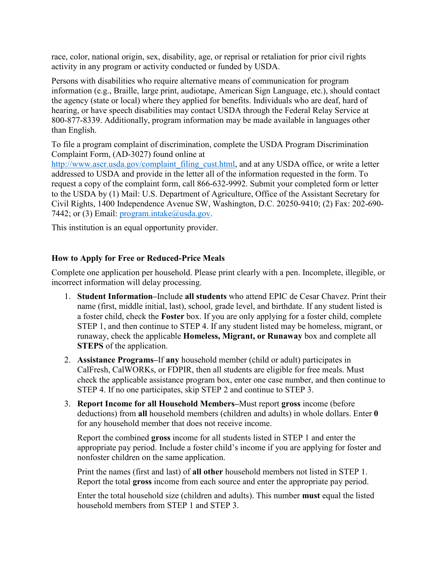race, color, national origin, sex, disability, age, or reprisal or retaliation for prior civil rights activity in any program or activity conducted or funded by USDA.

Persons with disabilities who require alternative means of communication for program information (e.g., Braille, large print, audiotape, American Sign Language, etc.), should contact the agency (state or local) where they applied for benefits. Individuals who are deaf, hard of hearing, or have speech disabilities may contact USDA through the Federal Relay Service at 800-877-8339. Additionally, program information may be made available in languages other than English.

To file a program complaint of discrimination, complete the USDA Program Discrimination Complaint Form, (AD-3027) found online at

[http://www.ascr.usda.gov/complaint\\_filing\\_cust.html,](http://www.ascr.usda.gov/complaint_filing_cust.html) and at any USDA office, or write a letter addressed to USDA and provide in the letter all of the information requested in the form. To request a copy of the complaint form, call 866-632-9992. Submit your completed form or letter to the USDA by (1) Mail: U.S. Department of Agriculture, Office of the Assistant Secretary for Civil Rights, 1400 Independence Avenue SW, Washington, D.C. 20250-9410; (2) Fax: 202-690- 7442; or (3) Email: program.intake $@$ usda.gov.

This institution is an equal opportunity provider.

#### **How to Apply for Free or Reduced-Price Meals**

Complete one application per household. Please print clearly with a pen. Incomplete, illegible, or incorrect information will delay processing.

- 1. **Student Information–**Include **all students** who attend EPIC de Cesar Chavez. Print their name (first, middle initial, last), school, grade level, and birthdate. If any student listed is a foster child, check the **Foster** box. If you are only applying for a foster child, complete STEP 1, and then continue to STEP 4. If any student listed may be homeless, migrant, or runaway, check the applicable **Homeless, Migrant, or Runaway** box and complete all **STEPS** of the application.
- 2. **Assistance Programs–**If **any** household member (child or adult) participates in CalFresh, CalWORKs, or FDPIR, then all students are eligible for free meals. Must check the applicable assistance program box, enter one case number, and then continue to STEP 4. If no one participates, skip STEP 2 and continue to STEP 3.
- 3. **Report Income for all Household Members–**Must report **gross** income (before deductions) from **all** household members (children and adults) in whole dollars. Enter **0** for any household member that does not receive income.

Report the combined **gross** income for all students listed in STEP 1 and enter the appropriate pay period. Include a foster child's income if you are applying for foster and nonfoster children on the same application.

Print the names (first and last) of **all other** household members not listed in STEP 1. Report the total **gross** income from each source and enter the appropriate pay period.

Enter the total household size (children and adults). This number **must** equal the listed household members from STEP 1 and STEP 3.